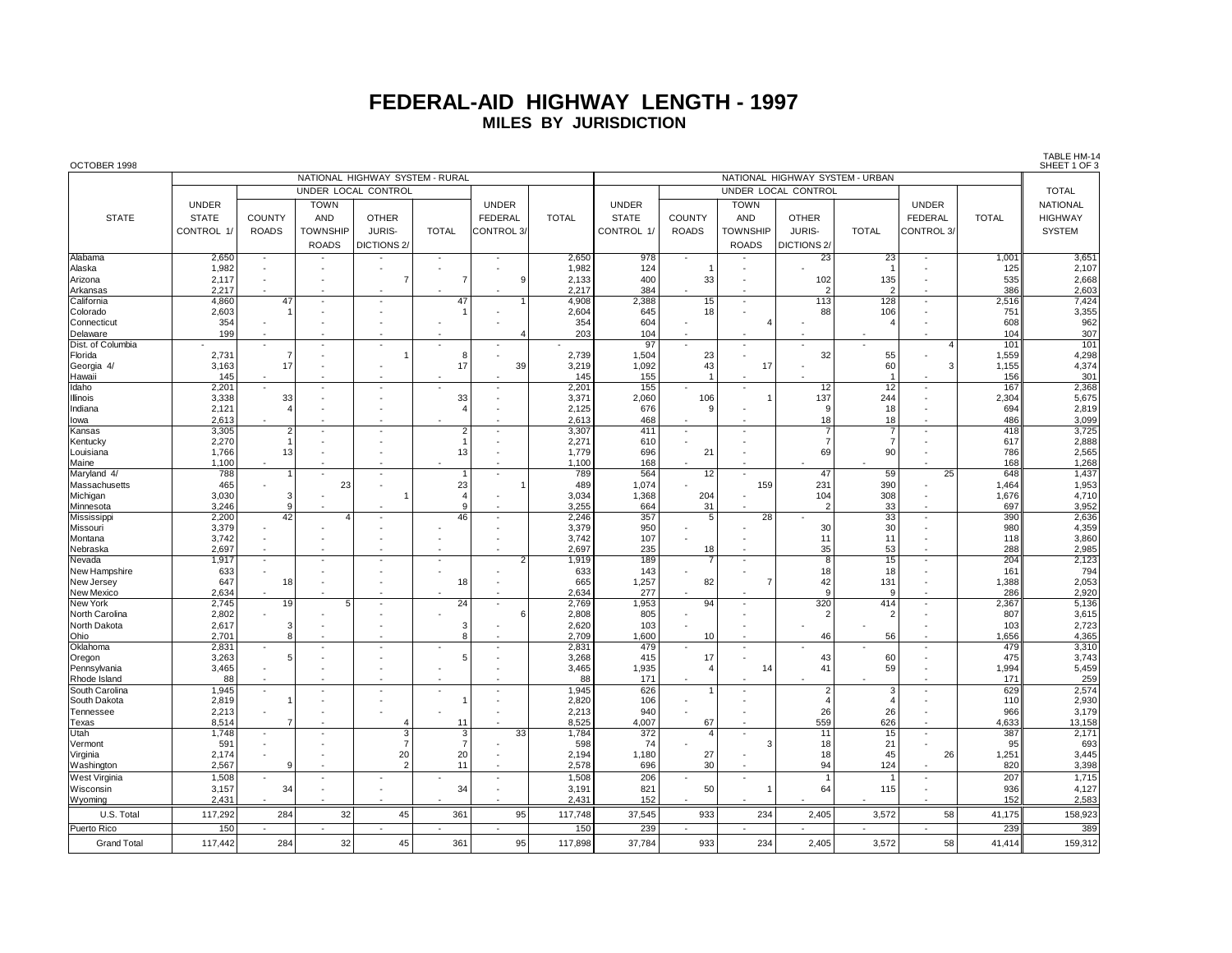## **FEDERAL-AID HIGHWAY LENGTH - 1997 MILES BY JURISDICTION**

| OCTOBER 1998          |                |                              |                 |                                 |                          |                          |                |                                 |                                |                 |                        |                      |                          |              | SHEET 1 OF 3    |  |
|-----------------------|----------------|------------------------------|-----------------|---------------------------------|--------------------------|--------------------------|----------------|---------------------------------|--------------------------------|-----------------|------------------------|----------------------|--------------------------|--------------|-----------------|--|
|                       |                |                              |                 | NATIONAL HIGHWAY SYSTEM - RURAL |                          |                          |                | NATIONAL HIGHWAY SYSTEM - URBAN |                                |                 |                        |                      |                          |              |                 |  |
|                       |                |                              |                 | UNDER LOCAL CONTROL             |                          |                          |                |                                 |                                |                 | UNDER LOCAL CONTROL    |                      |                          | <b>TOTAL</b> |                 |  |
|                       | <b>UNDER</b>   |                              | <b>TOWN</b>     |                                 |                          | <b>UNDER</b>             |                | <b>UNDER</b>                    |                                | <b>TOWN</b>     |                        |                      | <b>UNDER</b>             |              | <b>NATIONAL</b> |  |
| <b>STATE</b>          | <b>STATE</b>   | COUNTY                       | <b>AND</b>      | <b>OTHER</b>                    |                          | <b>FEDERAL</b>           | <b>TOTAL</b>   | <b>STATE</b>                    | <b>COUNTY</b>                  | AND             | <b>OTHER</b>           |                      | FEDERAL                  | <b>TOTAL</b> | <b>HIGHWAY</b>  |  |
|                       |                |                              |                 | JURIS-                          |                          |                          |                |                                 |                                | <b>TOWNSHIP</b> | JURIS-                 | <b>TOTAL</b>         |                          |              | <b>SYSTEM</b>   |  |
|                       | CONTROL 1/     | <b>ROADS</b>                 | <b>TOWNSHIP</b> |                                 | <b>TOTAL</b>             | CONTROL 3/               |                | CONTROL 1/                      | <b>ROADS</b>                   |                 |                        |                      | CONTROL <sub>3</sub>     |              |                 |  |
|                       |                |                              | <b>ROADS</b>    | DICTIONS <sub>2/</sub>          |                          |                          |                |                                 |                                | <b>ROADS</b>    | DICTIONS <sub>2/</sub> |                      |                          |              |                 |  |
| Alabama               | 2,650          | $\sim$                       |                 | $\overline{\phantom{a}}$        | $\overline{\phantom{a}}$ | $\overline{\phantom{a}}$ | 2,650          | 978                             | $\overline{\phantom{a}}$       |                 | 23                     | 23                   | $\overline{\phantom{a}}$ | 1,001        | 3,651           |  |
| Alaska                | 1,982          |                              |                 |                                 |                          |                          | 1,982          | 124                             |                                |                 |                        | $\overline{1}$       |                          | 125          | 2,107           |  |
| Arizona               | 2,117          |                              |                 | $\overline{7}$                  |                          | 9                        | 2,133          | 400                             | 33                             |                 | 102                    | 135                  |                          | 535          | 2,668           |  |
| Arkansas              | 2,217          |                              |                 |                                 |                          |                          | 2.217          | 384                             |                                | $\sim$          | 2                      | $\mathcal{P}$        | $\sim$                   | 386          | 2,603           |  |
| California            | 4,860          | 47                           |                 |                                 | 47                       |                          | 4,908          | 2,388                           | 15                             | $\blacksquare$  | 113                    | 128                  |                          | 2,516        | 7,424           |  |
| Colorado              | 2,603          |                              |                 |                                 |                          |                          | 2,604          | 645                             | 18                             |                 | 88                     | 106                  |                          | 751          | 3,355           |  |
| <b>Connecticut</b>    | 354            |                              |                 |                                 |                          |                          | 354            | 604                             |                                |                 |                        |                      |                          | 608          | 962             |  |
| Delaware              | 199            |                              |                 |                                 |                          | 4                        | 203            | 104                             |                                |                 |                        |                      |                          | 104          | 307             |  |
| Dist. of Columbia     |                |                              |                 |                                 |                          |                          |                | 97                              |                                |                 |                        |                      | 4                        | 101          | 101             |  |
| Florida               | 2,731          | $\overline{7}$               |                 |                                 | 8                        |                          | 2.739          | 1,504                           | 23                             |                 | 32                     | 55                   |                          | 1.559        | 4,298           |  |
| Georgia 4/            | 3,163          | 17                           |                 |                                 | 17                       | 39                       | 3,219          | 1,092                           | 43                             | 17              |                        | 60                   | २                        | 1,155        | 4,374           |  |
| Hawaii                | 145            |                              |                 |                                 |                          |                          | 145            | 155                             |                                |                 |                        |                      |                          | 156          | 301             |  |
| Idaho                 | 2,201          | $\sim$                       | $\sim$          | ÷,                              |                          | $\overline{\phantom{a}}$ | 2.201          | 155                             | $\overline{\phantom{a}}$       | $\blacksquare$  | 12                     | 12                   | $\blacksquare$           | 167          | 2,368           |  |
| Illinois              | 3,338          | 33<br>$\boldsymbol{\Lambda}$ |                 |                                 | 33                       |                          | 3,371          | 2,060                           | 106                            |                 | 137                    | 244                  |                          | 2,304        | 5,675           |  |
| Indiana               | 2,121          |                              |                 |                                 | 4                        |                          | 2,125          | 676                             | 9                              |                 | 9                      | 18                   |                          | 694          | 2,819           |  |
| lowa                  | 2,613          | $\overline{2}$               |                 | ÷,                              | $\overline{2}$           |                          | 2,613          | 468<br>411                      |                                |                 | 18<br>7                | 18<br>$\overline{7}$ |                          | 486<br>418   | 3,099<br>3,725  |  |
| Kansas                | 3,305<br>2,270 |                              |                 |                                 |                          |                          | 3,307<br>2,271 | 610                             | ÷,<br>$\overline{\phantom{a}}$ |                 | $\overline{7}$         | $\overline{7}$       |                          | 617          | 2,888           |  |
| Kentucky<br>Louisiana | 1,766          | 13                           |                 |                                 | 13                       |                          | 1,779          | 696                             | 21                             |                 | 69                     | 90                   |                          | 786          | 2,565           |  |
| Maine                 | 1,100          |                              |                 |                                 |                          |                          | 1,100          | 168                             |                                |                 |                        |                      |                          | 168          | 1,268           |  |
| Maryland 4/           | 788            | $\overline{1}$               |                 | $\sim$                          | $\mathbf{1}$             | $\blacksquare$           | 789            | 564                             | 12                             | ä,              | 47                     | 59                   | $\overline{25}$          | 648          | 1,437           |  |
| Massachusetts         | 465            |                              | 23              |                                 | 23                       |                          | 489            | 1,074                           |                                | 159             | 231                    | 390                  |                          | 1,464        | 1,953           |  |
| Michigan              | 3,030          | 3                            |                 |                                 | $\overline{\phantom{a}}$ |                          | 3,034          | 1,368                           | 204                            |                 | 104                    | 308                  |                          | 1,676        | 4,710           |  |
| Minnesota             | 3,246          | $\mathsf g$                  |                 |                                 | $\mathbf{Q}$             |                          | 3,255          | 664                             | 31                             |                 | $\overline{2}$         | 33                   |                          | 697          | 3,952           |  |
| Mississippi           | 2,200          | 42                           | Δ               |                                 | 46                       |                          | 2,246          | 357                             | 5                              | 28              |                        | 33                   | $\sim$                   | 390          | 2,636           |  |
| Missouri              | 3,379          |                              |                 |                                 |                          |                          | 3,379          | 950                             |                                |                 | 30                     | 30                   |                          | 980          | 4,359           |  |
| Montana               | 3,742          |                              |                 |                                 |                          |                          | 3.742          | 107                             |                                |                 | 11                     | 11                   |                          | 118          | 3,860           |  |
| Nebraska              | 2,697          | $\overline{a}$               |                 |                                 |                          |                          | 2,697          | 235                             | 18                             |                 | 35                     | 53                   |                          | 288          | 2,985           |  |
| Nevada                | 1,917          | $\sim$                       |                 |                                 |                          | $\overline{2}$           | 1,919          | 189                             | $\overline{7}$                 |                 | 8                      | 15                   | $\sim$                   | 204          | 2,123           |  |
| New Hampshire         | 633            |                              |                 |                                 |                          |                          | 633            | 143                             |                                |                 | 18                     | 18                   |                          | 161          | 794             |  |
| New Jersey            | 647            | 18                           |                 |                                 | 18                       |                          | 665            | 1,257                           | 82                             | 7               | 42                     | 131                  |                          | 1,388        | 2,053           |  |
| New Mexico            | 2,634          |                              |                 |                                 |                          | ÷                        | 2,634          | 277                             |                                |                 | $\mathbf{q}$           | 9                    | $\sim$                   | 286          | 2,920           |  |
| New York              | 2,745          | 19                           | $\overline{5}$  |                                 | 24                       |                          | 2,769          | 1,953                           | 94                             |                 | 320                    | 414                  |                          | 2,367        | 5,136           |  |
| North Carolina        | 2,802          |                              |                 |                                 |                          | 6                        | 2,808          | 805                             |                                |                 | 2                      | $\overline{2}$       |                          | 807          | 3,615           |  |
| North Dakota          | 2,617          | 3                            |                 |                                 | 3                        |                          | 2,620          | 103                             |                                |                 |                        |                      |                          | 103          | 2,723           |  |
| Ohio                  | 2,701          | 8                            |                 |                                 | 8                        |                          | 2,709          | 1,600                           | 10                             |                 | 46                     | 56                   |                          | 1,656        | 4,365           |  |
| Oklahoma              | 2,831          | $\blacksquare$               |                 |                                 |                          |                          | 2,831          | 479                             |                                |                 |                        |                      |                          | 479          | 3,310           |  |
| Oregon                | 3,263          | 5                            |                 |                                 | 5                        |                          | 3,268          | 415                             | 17                             |                 | 43                     | 60                   |                          | 475          | 3,743           |  |
| Pennsylvania          | 3,465          |                              |                 |                                 |                          |                          | 3,465          | 1,935                           | $\overline{4}$                 | 14              | 41                     | 59                   |                          | 1,994        | 5,459           |  |
| Rhode Island          | 88             |                              |                 |                                 |                          |                          | 88             | 171                             |                                |                 |                        |                      |                          | 171          | 259             |  |
| South Carolina        | 1,945          | $\sim$                       |                 | ÷,                              |                          | $\sim$                   | 1,945          | 626                             |                                | ÷.              | $\overline{2}$         | 3                    | $\sim$                   | 629          | 2,574           |  |
| South Dakota          | 2,819          |                              |                 |                                 |                          |                          | 2,820          | 106                             |                                |                 | 4                      | $\overline{4}$       |                          | 110          | 2,930           |  |
| Tennessee             | 2,213          | $\sim$                       |                 |                                 |                          |                          | 2,213          | 940                             |                                |                 | 26                     | 26                   |                          | 966          | 3,179           |  |
| Texas                 | 8,514          | $\overline{7}$               |                 | $\overline{4}$                  | 11                       |                          | 8,525          | 4,007                           | 67                             |                 | 559                    | 626                  | $\sim$                   | 4,633        | 13,158          |  |
| Utah                  | 1,748          | $\blacksquare$               |                 | $\overline{\overline{3}}$       | $\overline{3}$           | $\overline{33}$          | 1,784          | 372                             | $\overline{4}$                 | ÷,              | $\overline{11}$        | 15                   | $\sim$                   | 387          | 2,171           |  |
| Vermont               | 591            |                              |                 | $\overline{7}$                  | 7                        |                          | 598            | 74                              |                                | 3               | 18                     | 21                   |                          | 95           | 693             |  |
| Virginia              | 2,174          |                              |                 | 20                              | 20                       |                          | 2,194          | 1,180                           | 27                             |                 | 18                     | 45                   | 26                       | 1,251        | 3,445           |  |
| Washington            | 2,567          | 9                            |                 | $\overline{2}$                  | 11                       |                          | 2,578          | 696                             | 30                             |                 | 94                     | 124                  |                          | 820          | 3,398           |  |
| West Virginia         | 1,508          | $\sim$                       | $\sim$          |                                 |                          | ÷,                       | 1,508          | 206                             |                                | ÷,              | $\overline{1}$         | $\overline{1}$       |                          | 207          | 1,715           |  |
| Wisconsin             | 3,157          | 34                           |                 |                                 | 34                       | ÷                        | 3,191          | 821                             | 50                             |                 | 64                     | 115                  |                          | 936          | 4,127           |  |
| Wyoming               | 2,431          |                              |                 |                                 |                          |                          | 2.431          | 152                             |                                |                 |                        |                      |                          | 152          | 2,583           |  |
| U.S. Total            | 117,292        | 284                          | 32              | 45                              | 361                      | 95                       | 117,748        | 37,545                          | 933                            | 234             | 2,405                  | 3,572                | 58                       | 41,175       | 158,923         |  |
| Puerto Rico           | 150            |                              |                 |                                 |                          | ÷.                       | 150            | 239                             |                                |                 |                        |                      |                          | 239          | 389             |  |
| <b>Grand Total</b>    | 117,442        | 284                          | 32              | 45                              | 361                      | 95                       | 117,898        | 37,784                          | 933                            | 234             | 2,405                  | 3,572                | 58                       | 41.414       | 159,312         |  |

TABLE HM-14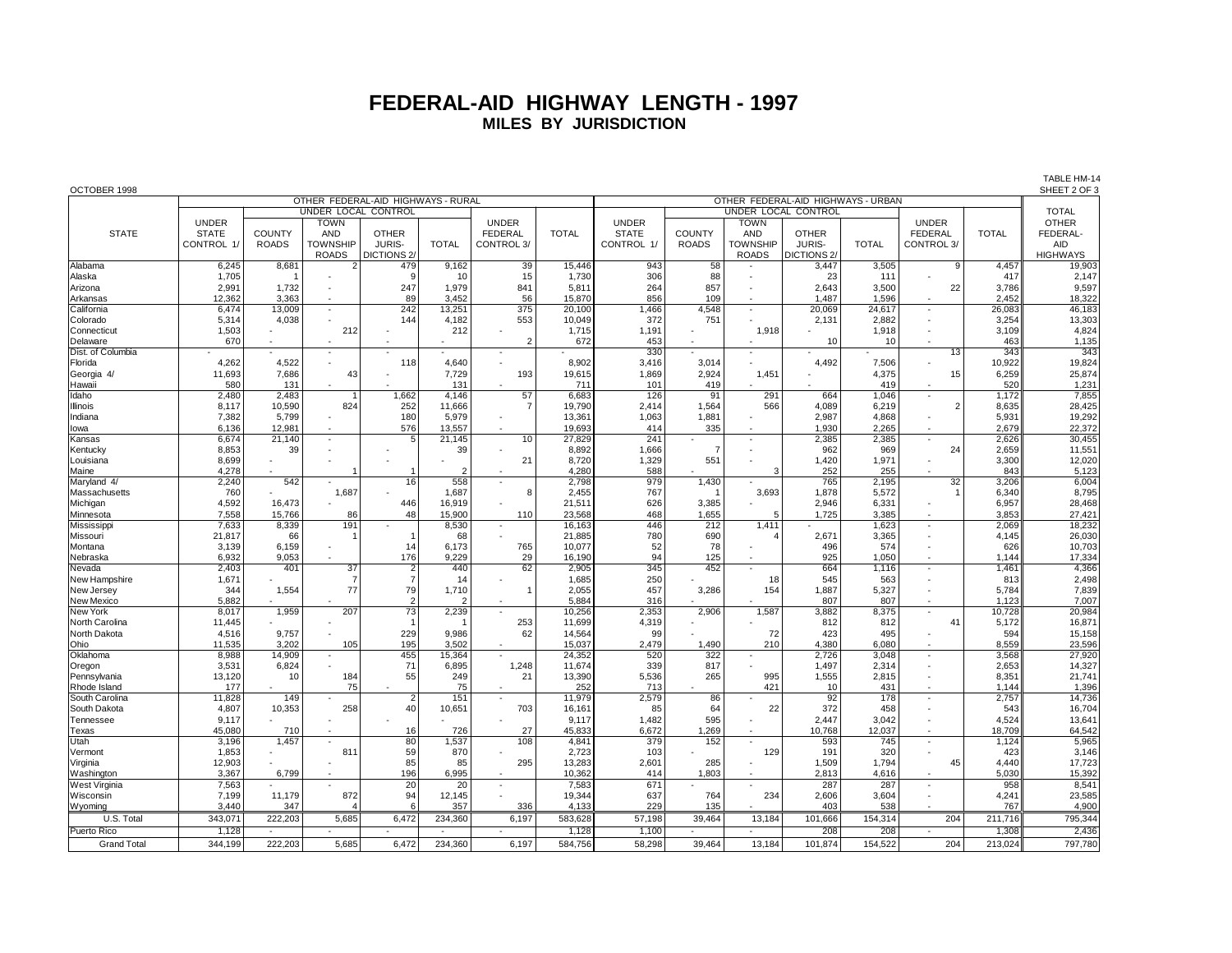## **FEDERAL-AID HIGHWAY LENGTH - 1997 MILES BY JURISDICTION**

| OCTOBER 1998               |                 |                |                          |                                    |                |                          |                 |                |                |                 | OTHER FEDERAL-AID HIGHWAYS - URBAN |                |                          |                 | SHEET 2 OF 3     |
|----------------------------|-----------------|----------------|--------------------------|------------------------------------|----------------|--------------------------|-----------------|----------------|----------------|-----------------|------------------------------------|----------------|--------------------------|-----------------|------------------|
|                            |                 |                |                          | OTHER FEDERAL-AID HIGHWAYS - RURAL |                |                          |                 |                |                |                 |                                    |                |                          |                 |                  |
|                            |                 |                | UNDER LOCAL CONTROL      |                                    |                |                          |                 |                |                |                 | UNDER LOCAL CONTROL                |                |                          |                 | <b>TOTAL</b>     |
|                            | <b>UNDER</b>    |                | <b>TOWN</b>              |                                    |                | <b>UNDER</b>             |                 | <b>UNDER</b>   |                | <b>TOWN</b>     |                                    |                | <b>UNDER</b>             |                 | <b>OTHER</b>     |
| <b>STATE</b>               | <b>STATE</b>    | <b>COUNTY</b>  | AND                      | <b>OTHER</b>                       |                | <b>FEDERAL</b>           | <b>TOTAL</b>    | <b>STATE</b>   | <b>COUNTY</b>  | <b>AND</b>      | <b>OTHER</b>                       |                | <b>FEDERAL</b>           | <b>TOTAL</b>    | FEDERAL-         |
|                            | CONTROL 1/      | <b>ROADS</b>   | <b>TOWNSHIP</b>          | JURIS-                             | <b>TOTAL</b>   | CONTROL 3/               |                 | CONTROL 1/     | <b>ROADS</b>   | <b>TOWNSHIP</b> | JURIS-                             | <b>TOTAL</b>   | CONTROL 3/               |                 | <b>AID</b>       |
|                            |                 |                | <b>ROADS</b>             | DICTIONS <sub>2</sub>              |                |                          |                 |                |                | <b>ROADS</b>    | DICTIONS <sub>2/</sub>             |                |                          |                 | <b>HIGHWAYS</b>  |
| Alabama                    | 6,245           | 8,681          |                          | 479                                | 9,162          | 39                       | 15,446          | 943            | 58             |                 | 3,447                              | 3,505          | 9                        | 4,457           | 19,903           |
| Alaska                     | 1,705           | -1             |                          | 9                                  | 10             | 15                       | 1,730           | 306            | 88             |                 | 23                                 | 111            |                          | 417             | 2,147            |
| Arizona                    | 2,991           | 1,732          | $\overline{\phantom{a}}$ | 247                                | 1,979          | 841                      | 5.811           | 264            | 857            |                 | 2,643                              | 3,500          | 22                       | 3,786           | 9,597            |
| Arkansas                   | 12,362          | 3,363          | $\overline{\phantom{a}}$ | 89                                 | 3,452          | 56                       | 15,870          | 856            | 109            | $\sim$          | 1,487                              | 1,596          | $\sim$                   | 2,452           | 18,322           |
| California                 | 6,474           | 13,009         | $\blacksquare$           | 242                                | 13,251         | 375                      | 20,100          | 1,466          | 4,548          |                 | 20,069                             | 24,617         | ÷,                       | 26,083          | 46,183           |
| Colorado                   | 5,314           | 4,038          |                          | 144                                | 4,182          | 553                      | 10,049          | 372            | 751            |                 | 2,131                              | 2,882          | $\sim$                   | 3,254           | 13,303           |
| Connecticut                | 1,503           |                | 212                      |                                    | 212            | $\sim$                   | 1,715           | 1,191          |                | 1,918           |                                    | 1,918          | ÷,                       | 3,109           | 4,824            |
| Delaware                   | 670             |                |                          |                                    |                | $\overline{2}$           | 672             | 453            |                |                 | 10                                 | 10             | ÷                        | 463             | 1,135            |
| Dist. of Columbia          |                 |                | $\sim$                   |                                    |                |                          |                 | 330            |                |                 |                                    |                | 13                       | 343             | 343              |
| Florida                    | 4,262<br>11,693 | 4,522<br>7,686 | 43                       | 118                                | 4,640<br>7,729 | 193                      | 8,902<br>19,615 | 3,416<br>1,869 | 3,014<br>2,924 | 1,451           | 4,492                              | 7,506<br>4,375 | 15                       | 10,922<br>6,259 | 19,824<br>25,874 |
| Georgia 4/                 | 580             | 131            |                          |                                    | 131            |                          | 711             | 101            | 419            |                 |                                    | 419            |                          | 520             | 1,231            |
| Hawaii<br>Idaho            | 2.480           | 2.483          |                          | 1,662                              | 4.146          | 57                       | 6,683           | 126            | 91             | 291             | 664                                | 1,046          | ÷,                       | 1,172           | 7,855            |
| Illinois                   | 8,117           | 10,590         | 824                      | 252                                | 11,666         |                          | 19,790          | 2,414          | 1,564          | 566             | 4,089                              | 6,219          | $\overline{2}$           | 8,635           | 28,425           |
|                            | 7,382           | 5,799          |                          | 180                                | 5,979          | $\overline{\phantom{a}}$ | 13,361          | 1,063          | 1,881          |                 | 2,987                              | 4,868          | $\sim$                   | 5,931           | 19,292           |
| Indiana<br>lowa            | 6,136           | 12,981         |                          | 576                                | 13,557         |                          | 19,693          | 414            | 335            |                 | 1.930                              | 2,265          | ÷,                       | 2.679           | 22,372           |
| Kansas                     | 6,674           | 21,140         |                          | 5                                  | 21,145         | 10                       | 27,829          | 241            |                |                 | 2,385                              | 2,385          | ÷,                       | 2,626           | 30,455           |
| Kentucky                   | 8,853           | 39             |                          |                                    | 39             |                          | 8,892           | 1,666          | $\overline{7}$ |                 | 962                                | 969            | 24                       | 2,659           | 11,551           |
| Louisiana                  | 8.699           |                |                          |                                    |                | 21                       | 8.720           | 1,329          | 551            |                 | 1.420                              | 1,971          | ÷,                       | 3,300           | 12,020           |
| Maine                      | 4,278           |                |                          |                                    | 2              |                          | 4.280           | 588            |                | 3               | 252                                | 255            |                          | 843             | 5,123            |
| Maryland 4/                | 2,240           | 542            |                          | 16                                 | 558            | $\sim$                   | 2,798           | 979            | 1,430          |                 | 765                                | 2,195          | 32                       | 3,206           | 6,004            |
| Massachusetts              | 760             |                | 1,687                    |                                    | 1.687          | 8                        | 2.455           | 767            |                | 3,693           | 1,878                              | 5.572          |                          | 6,340           | 8,795            |
| Michigan                   | 4,592           | 16,473         |                          | 446                                | 16,919         |                          | 21,511          | 626            | 3,385          |                 | 2,946                              | 6,331          | $\sim$                   | 6,957           | 28,468           |
| Minnesota                  | 7,558           | 15,766         | 86                       | 48                                 | 15,900         | 110                      | 23,568          | 468            | 1,655          | 5               | 1,725                              | 3,385          | ÷,                       | 3,853           | 27,421           |
| Mississipp                 | 7,633           | 8.339          | 191                      |                                    | 8.530          | $\sim$                   | 16.163          | 446            | 212            | 1.411           |                                    | 1.623          | $\sim$                   | 2.069           | 18.232           |
| Missouri                   | 21,817          | 66             |                          | 1                                  | 68             |                          | 21,885          | 780            | 690            |                 | 2,671                              | 3,365          | $\sim$                   | 4,145           | 26,030           |
| Montana                    | 3.139           | 6.159          | ÷,                       | 14                                 | 6.173          | 765                      | 10.077          | 52             | 78             |                 | 496                                | 574            | ÷,                       | 626             | 10.703           |
| Nebraska                   | 6,932           | 9,053          |                          | 176                                | 9,229          | 29                       | 16,190          | 94             | 125            |                 | 925                                | 1,050          | ÷.                       | 1,144           | 17,334           |
| Nevada                     | 2,403           | 401            | 37                       | $\overline{\mathbf{c}}$            | 440            | 62                       | 2,905           | 345            | 452            |                 | 664                                | 1,116          | $\sim$                   | 1,461           | 4,366            |
| New Hampshire              | 1,671           |                | $\overline{7}$           | $\overline{7}$                     | 14             |                          | 1,685           | 250            |                | 18              | 545                                | 563            | $\sim$                   | 813             | 2,498            |
| New Jersey                 | 344             | 1,554          | 77                       | 79                                 | 1,710          |                          | 2,055           | 457            | 3,286          | 154             | 1,887                              | 5,327          | $\sim$                   | 5,784           | 7,839            |
| New Mexico                 | 5,882           |                |                          | $\overline{2}$                     | 2              |                          | 5,884           | 316            |                |                 | 807                                | 807            | ÷.                       | 1,123           | 7,007            |
| New York                   | 8,017           | 1,959          | 207                      | 73                                 | 2,239          |                          | 10.256          | 2,353          | 2,906          | 1,587           | 3,882                              | 8,375          | $\sim$                   | 10,728          | 20,984           |
| North Carolina             | 11,445          |                |                          | -1                                 |                | 253                      | 11,699          | 4,319          |                |                 | 812                                | 812            | 41                       | 5,172           | 16,871           |
| North Dakota               | 4,516           | 9,757          |                          | 229                                | 9,986          | 62                       | 14,564          | 99             |                | 72              | 423                                | 495            | $\sim$                   | 594             | 15,158           |
| Ohio                       | 11,535          | 3.202          | 105                      | 195                                | 3,502          |                          | 15,037          | 2,479          | 1,490          | 210             | 4,380                              | 6,080          | $\overline{a}$           | 8,559           | 23,596           |
| Oklahoma                   | 8,988           | 14,909         |                          | 455                                | 15,364         |                          | 24,352          | 520            | 322            |                 | 2,726                              | 3,048          | $\overline{\phantom{a}}$ | 3,568           | 27,920           |
| Oregon                     | 3,531           | 6,824          |                          | 71                                 | 6,895          | 1,248                    | 11,674          | 339            | 817            |                 | 1,497                              | 2,314          | $\sim$                   | 2,653           | 14,327           |
| Pennsylvania               | 13,120          | 10             | 184                      | 55                                 | 249            | 21                       | 13,390          | 5,536          | 265            | 995             | 1,555                              | 2,815          | $\overline{a}$           | 8,351           | 21,741           |
| Rhode Island               | 177             |                | 75                       |                                    | 75             |                          | 252             | 713            |                | 421             | 10                                 | 431            | $\sim$                   | 1,144           | 1,396            |
| South Carolina             | 11,828          | 149            |                          | $\overline{2}$                     | 151            |                          | 11,979          | 2,579          | 86             |                 | $\overline{92}$                    | 178            | ÷,                       | 2,757           | 14,736           |
| South Dakota               | 4,807           | 10,353         | 258                      | 40                                 | 10,651         | 703                      | 16.161          | 85             | 64             | 22              | 372                                | 458            |                          | 543             | 16,704           |
| Tennessee                  | 9,117           |                |                          |                                    |                |                          | 9,117           | 1,482          | 595            |                 | 2,447                              | 3,042          | $\sim$                   | 4,524           | 13,641           |
| Texas                      | 45,080          | 710            |                          | 16                                 | 726            | 27                       | 45.833          | 6,672          | 1,269          |                 | 10,768                             | 12,037         | ÷,                       | 18,709          | 64,542           |
| Utah                       | 3,196           | 1,457          |                          | 80                                 | 1,537          | 108                      | 4,841           | 379            | 152            |                 | 593                                | 745            | ÷,                       | 1,124           | 5,965            |
| Vermont                    | 1,853           |                | 81                       | 59                                 | 870            |                          | 2,723           | 103            |                | 129             | 191                                | 320            |                          | 423             | 3,146            |
| Virginia                   | 12,903          |                |                          | 85                                 | 85             | 295                      | 13,283          | 2,601          | 285            |                 | 1,509                              | 1.794          | 45                       | 4.440           | 17,723           |
| Washington                 | 3,367           | 6,799          |                          | 196<br>20                          | 6,995          |                          | 10,362          | 414            | 1,803          |                 | 2,813                              | 4,616          | $\overline{a}$<br>÷,     | 5,030           | 15,392           |
| West Virginia<br>Wisconsin | 7,563           |                | 872                      | 94                                 | 20             |                          | 7,583<br>19.344 | 671            | 764            | 234             | 287<br>2.606                       | 287<br>3.604   | ÷.                       | 958             | 8,541<br>23,585  |
|                            | 7,199           | 11,179         |                          | 6                                  | 12,145         |                          |                 | 637            |                |                 |                                    |                |                          | 4,241           |                  |
| Wyoming                    | 3,440           | 347            |                          |                                    | 357            | 336                      | 4,133           | 229            | 135            |                 | 403                                | 538            |                          | 767             | 4,900            |
| U.S. Total                 | 343,071         | 222.203        | 5.685                    | 6.472                              | 234,360        | 6.197                    | 583.628         | 57,198         | 39,464         | 13,184          | 101.666                            | 154,314        | 204                      | 211.716         | 795,344          |
| Puerto Rico                | 1,128           |                |                          |                                    | i.             |                          | 1,128           | 1,100          |                |                 | 208                                | 208            |                          | 1,308           | 2,436            |

Grand Total | 344,199 222,203 5,685 6,472 234,360 6,197 584,756 58,298 39,464 13,184 101,874 154,522 204 213,024 797,780

TABLE HM-14